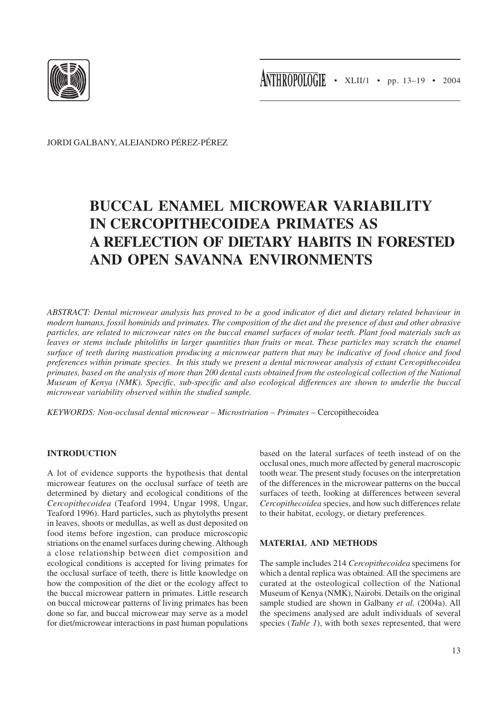

JORDI GALBANY, ALEJANDRO PÉREZ-PÉREZ

# **BUCCAL ENAMEL MICROWEAR VARIABILITY IN CERCOPITHECOIDEA PRIMATES AS A REFLECTION OF DIETARY HABITS IN FORESTED AND OPEN SAVANNA ENVIRONMENTS**

*ABSTRACT: Dental microwear analysis has proved to be a good indicator of diet and dietary related behaviour in modern humans, fossil hominids and primates. The composition of the diet and the presence of dust and other abrasive particles, are related to microwear rates on the buccal enamel surfaces of molar teeth. Plant food materials such as leaves or stems include phitoliths in larger quantities than fruits or meat. These particles may scratch the enamel surface of teeth during mastication producing a microwear pattern that may be indicative of food choice and food preferences within primate species. In this study we present a dental microwear analysis of extant Cercopithecoidea primates, based on the analysis of more than 200 dental casts obtained from the osteological collection of the National Museum of Kenya (NMK). Specific, sub-specific and also ecological differences are shown to underlie the buccal microwear variability observed within the studied sample.*

*KEYWORDS: Non-occlusal dental microwear – Microstriation – Primates –* Cercopithecoidea

# **INTRODUCTION**

A lot of evidence supports the hypothesis that dental microwear features on the occlusal surface of teeth are determined by dietary and ecological conditions of the *Cercopithecoidea* (Teaford 1994, Ungar 1998, Ungar, Teaford 1996). Hard particles, such as phytolyths present in leaves, shoots or medullas, as well as dust deposited on food items before ingestion, can produce microscopic striations on the enamel surfaces during chewing. Although a close relationship between diet composition and ecological conditions is accepted for living primates for the occlusal surface of teeth, there is little knowledge on how the composition of the diet or the ecology affect to the buccal microwear pattern in primates. Little research on buccal microwear patterns of living primates has been done so far, and buccal microwear may serve as a model for diet/microwear interactions in past human populations based on the lateral surfaces of teeth instead of on the occlusal ones, much more affected by general macroscopic tooth wear. The present study focuses on the interpretation of the differences in the microwear patterns on the buccal surfaces of teeth, looking at differences between several *Cercopithecoidea* species, and how such differences relate to their habitat, ecology, or dietary preferences.

# **MATERIAL AND METHODS**

The sample includes 214 *Cercopithecoidea* specimens for which a dental replica was obtained. All the specimens are curated at the osteological collection of the National Museum of Kenya (NMK), Nairobi. Details on the original sample studied are shown in Galbany *et al.* (2004a). All the specimens analysed are adult individuals of several species (*Table 1*), with both sexes represented, that were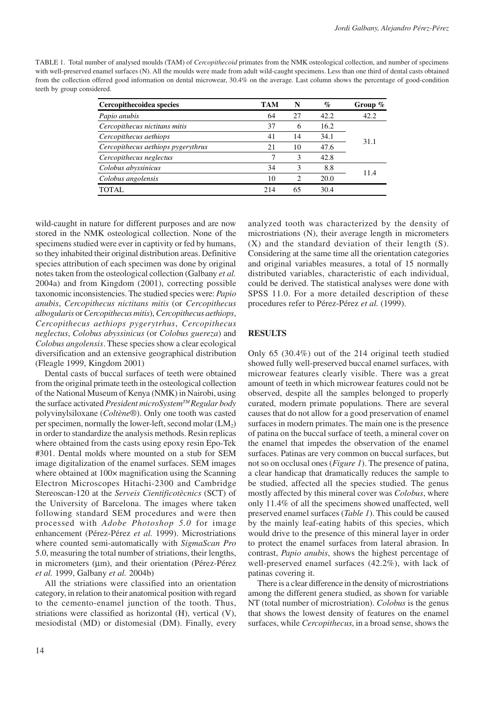| TABLE 1. Total number of analysed moulds (TAM) of <i>Cercopithecoid</i> primates from the NMK osteological collection, and number of specimens   |
|--------------------------------------------------------------------------------------------------------------------------------------------------|
| with well-preserved enamel surfaces (N). All the moulds were made from adult wild-caught specimens. Less than one third of dental casts obtained |
| from the collection offered good information on dental microwear, 30.4% on the average. Last column shows the percentage of good-condition       |
| teeth by group considered.                                                                                                                       |

| Cercopithecoidea species           | <b>TAM</b> | N                           | $\%$  | Group $\%$ |  |
|------------------------------------|------------|-----------------------------|-------|------------|--|
| Papio anubis                       | 64         | 27                          | 42.2. | 42.2       |  |
| Cercopithecus nictitans mitis      | 37         | 6                           | 16.2  |            |  |
| Cercopithecus aethiops             | 41         | 14                          | 34.1  | 31.1       |  |
| Cercopithecus aethiops pygerythrus | 21         | 10                          | 47.6  |            |  |
| Cercopithecus neglectus            | ┑          | 3                           | 42.8  |            |  |
| Colobus abyssinicus                | 34         | 3                           | 8.8   | 11.4       |  |
| Colobus angolensis                 | 10         | $\mathcal{D}_{\mathcal{L}}$ | 20.0  |            |  |
| TOTAL.                             | 214        | 65                          | 30.4  |            |  |

wild-caught in nature for different purposes and are now stored in the NMK osteological collection. None of the specimens studied were ever in captivity or fed by humans, so they inhabited their original distribution areas. Definitive species attribution of each specimen was done by original notes taken from the osteological collection (Galbany *et al.* 2004a) and from Kingdom (2001), correcting possible taxonomic inconsistencies. The studied species were: *Papio anubis*, *Cercopithecus nictitans mitis* (or *Cercopithecus albogularis* or *Cercopithecus mitis*), *Cercopithecus aethiops*, *Cercopithecus aethiops pygerytrhus*, *Cercopithecus neglectus*, *Colobus abyssinicus* (or *Colobus guereza*) and *Colobus angolensis*. These species show a clear ecological diversification and an extensive geographical distribution (Fleagle 1999, Kingdom 2001)

Dental casts of buccal surfaces of teeth were obtained from the original primate teeth in the osteological collection of the National Museum of Kenya (NMK) in Nairobi, using the surface activated *President microSystemTM Regular body* polyvinylsiloxane (*Coltène*®). Only one tooth was casted per specimen, normally the lower-left, second molar  $(LM_2)$ in order to standardize the analysis methods. Resin replicas where obtained from the casts using epoxy resin Epo-Tek #301. Dental molds where mounted on a stub for SEM image digitalization of the enamel surfaces. SEM images where obtained at 100 $\times$  magnification using the Scanning Electron Microscopes Hitachi-2300 and Cambridge Stereoscan-120 at the *Serveis Cientificotècnics* (SCT) of the University of Barcelona. The images where taken following standard SEM procedures and were then processed with *Adobe Photoshop 5.0* for image enhancement (Pérez-Pérez *et al.* 1999). Microstriations where counted semi-automatically with *SigmaScan Pro* 5.0, measuring the total number of striations, their lengths, in micrometers (µm), and their orientation (Pérez-Pérez *et al.* 1999, Galbany *et al.* 2004b)

All the striations were classified into an orientation category, in relation to their anatomical position with regard to the cemento-enamel junction of the tooth. Thus, striations were classified as horizontal (H), vertical (V), mesiodistal (MD) or distomesial (DM). Finally, every

analyzed tooth was characterized by the density of microstriations (N), their average length in micrometers (X) and the standard deviation of their length (S). Considering at the same time all the orientation categories and original variables measures, a total of 15 normally distributed variables, characteristic of each individual, could be derived. The statistical analyses were done with SPSS 11.0. For a more detailed description of these procedures refer to Pérez-Pérez *et al.* (1999).

### **RESULTS**

Only 65 (30.4%) out of the 214 original teeth studied showed fully well-preserved buccal enamel surfaces, with microwear features clearly visible. There was a great amount of teeth in which microwear features could not be observed, despite all the samples belonged to properly curated, modern primate populations. There are several causes that do not allow for a good preservation of enamel surfaces in modern primates. The main one is the presence of patina on the buccal surface of teeth, a mineral cover on the enamel that impedes the observation of the enamel surfaces. Patinas are very common on buccal surfaces, but not so on occlusal ones (*Figure 1*). The presence of patina, a clear handicap that dramatically reduces the sample to be studied, affected all the species studied. The genus mostly affected by this mineral cover was *Colobus*, where only 11.4% of all the specimens showed unaffected, well preserved enamel surfaces (*Table 1*). This could be caused by the mainly leaf-eating habits of this species, which would drive to the presence of this mineral layer in order to protect the enamel surfaces from lateral abrasion. In contrast, *Papio anubis*, shows the highest percentage of well-preserved enamel surfaces (42.2%), with lack of patinas covering it.

There is a clear difference in the density of microstriations among the different genera studied, as shown for variable NT (total number of microstriation). *Colobus* is the genus that shows the lowest density of features on the enamel surfaces, while *Cercopithecus*, in a broad sense, shows the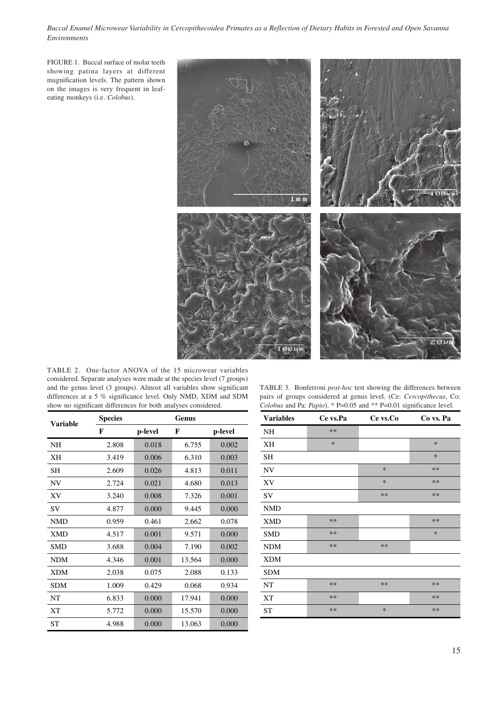*Buccal Enamel Microwear Variability in Cercopithecoidea Primates as a Reflection of Dietary Habits in Forested and Open Savanna Environments*

FIGURE 1. Buccal surface of molar teeth showing patina layers at different magnification levels. The pattern shown on the images is very frequent in leafeating monkeys (i.e. *Colobus*).



TABLE 2. One-factor ANOVA of the 15 microwear variables considered. Separate analyses were made at the species level (7 groups) and the genus level (3 groups). Almost all variables show significant differences at a 5 % significance level. Only NMD, XDM and SDM show no significant differences for both analyses considered.

TABLE 3. Bonferroni *post-hoc* test showing the differences between pairs of groups considered at genus level. (Ce: *Cercopithecus*, Co: *Colobus* and Pa: *Papio*). \* P=0.05 and \*\* P=0.01 significance level.

| Variable   | <b>Species</b> | Genus   |        |         |  |
|------------|----------------|---------|--------|---------|--|
|            | F              | p-level | F      | p-level |  |
| <b>NH</b>  | 2.808          | 0.018   | 6.755  | 0.002   |  |
| XН         | 3.419          | 0.006   | 6.310  | 0.003   |  |
| <b>SH</b>  | 2.609          | 0.026   | 4.813  | 0.011   |  |
| NV         | 2.724          | 0.021   | 4.680  | 0.013   |  |
| XV         | 3.240          | 0.008   | 7.326  | 0.001   |  |
| SV         | 4.877          | 0.000   | 9.445  | 0.000   |  |
| <b>NMD</b> | 0.959          | 0.461   | 2.662  | 0.078   |  |
| <b>XMD</b> | 4.517          | 0.001   | 9.571  | 0.000   |  |
| <b>SMD</b> | 3.688          | 0.004   | 7.190  | 0.002   |  |
| <b>NDM</b> | 4.346          | 0.001   | 13.564 | 0.000   |  |
| <b>XDM</b> | 2.038          | 0.075   | 2.088  | 0.133   |  |
| SDM        | 1.009          | 0.429   | 0.068  | 0.934   |  |
| NΤ         | 6.833          | 0.000   | 17.941 | 0.000   |  |
| XТ         | 5.772          | 0.000   | 15.570 | 0.000   |  |
| <b>ST</b>  | 4.988          | 0.000   | 13.063 | 0.000   |  |

| <b>Variables</b> | Ce vs.Pa | Ce vs.Co | Co vs. Pa |
|------------------|----------|----------|-----------|
| NH               | $**$     |          |           |
| XН               | $\ast$   |          | $\ast$    |
| SН               |          |          | $\ast$    |
| NV               |          | $\ast$   | $**$      |
| XV               |          | $\ast$   | $**$      |
| SV               |          | $**$     | $**$      |
| <b>NMD</b>       |          |          |           |
| <b>XMD</b>       | $**$     |          | $**$      |
| <b>SMD</b>       | $**$     |          | $\ast$    |
| <b>NDM</b>       | $**$     | $**$     |           |
| <b>XDM</b>       |          |          |           |
| <b>SDM</b>       |          |          |           |
| NT               | $**$     | $**$     | $**$      |
| XТ               | $**$     |          | $**$      |
| <b>ST</b>        | $**$     | $\ast$   | $**$      |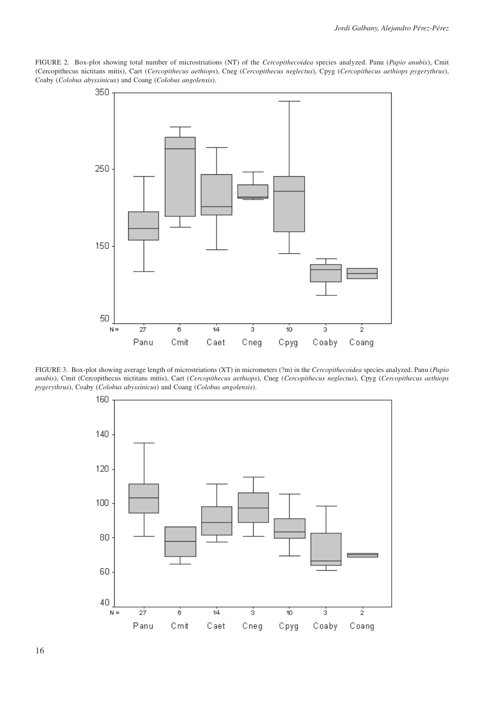FIGURE 2. Box-plot showing total number of microstriations (NT) of the *Cercopithecoidea* species analyzed. Panu (*Papio anubis*), Cmit (Cercopithecus nictitans mitis), Caet (*Cercopithecus aethiops*), Cneg (*Cercopithecus neglectus*), Cpyg (*Cercopithecus aethiops pygerythrus*), Coaby (*Colobus abyssinicus*) and Coang (*Colobus angolensis*).



FIGURE 3. Box-plot showing average length of microstriations (XT) in micrometers (?m) in the *Cercopithecoidea* species analyzed. Panu (*Papio anubis*), Cmit (Cercopithecus nictitans mitis), Caet (*Cercopithecus aethiops*), Cneg (*Cercopithecus neglectus*), Cpyg (*Cercopithecus aethiops pygerythrus*), Coaby (*Colobus abyssinicus*) and Coang (*Colobus angolensis*).

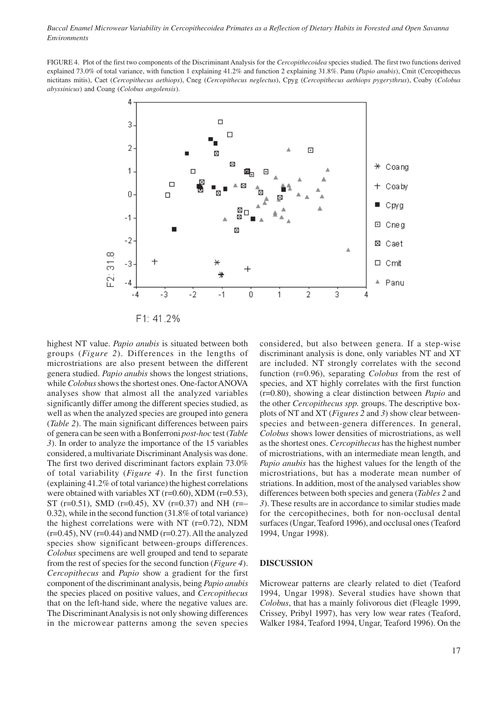*Buccal Enamel Microwear Variability in Cercopithecoidea Primates as a Reflection of Dietary Habits in Forested and Open Savanna Environments*

FIGURE 4. Plot of the first two components of the Discriminant Analysis for the *Cercopithecoidea* species studied. The first two functions derived explained 73.0% of total variance, with function 1 explaining 41.2% and function 2 explaining 31.8%. Panu (*Papio anubis*), Cmit (Cercopithecus nictitans mitis), Caet (*Cercopithecus aethiops*), Cneg (*Cercopithecus neglectus*), Cpyg (*Cercopithecus aethiops pygerythrus*), Coaby (*Colobus abyssinicus*) and Coang (*Colobus angolensis*).



highest NT value. *Papio anubis* is situated between both groups (*Figure 2*). Differences in the lengths of microstriations are also present between the different genera studied. *Papio anubis* shows the longest striations, while *Colobus* shows the shortest ones. One-factor ANOVA analyses show that almost all the analyzed variables significantly differ among the different species studied, as well as when the analyzed species are grouped into genera (*Table 2*). The main significant differences between pairs of genera can be seen with a Bonferroni *post-hoc* test (*Table 3*). In order to analyze the importance of the 15 variables considered, a multivariate Discriminant Analysis was done. The first two derived discriminant factors explain 73.0% of total variability (*Figure 4*). In the first function (explaining 41.2% of total variance) the highest correlations were obtained with variables XT (r=0.60), XDM (r=0.53), ST (r=0.51), SMD (r=0.45), XV (r=0.37) and NH (r=– 0.32), while in the second function (31.8% of total variance) the highest correlations were with NT  $(r=0.72)$ , NDM  $(r=0.45)$ , NV  $(r=0.44)$  and NMD  $(r=0.27)$ . All the analyzed species show significant between-groups differences. *Colobus* specimens are well grouped and tend to separate from the rest of species for the second function (*Figure 4*). *Cercopithecus* and *Papio* show a gradient for the first component of the discriminant analysis, being *Papio anubis* the species placed on positive values, and *Cercopithecus* that on the left-hand side, where the negative values are. The Discriminant Analysis is not only showing differences in the microwear patterns among the seven species considered, but also between genera. If a step-wise discriminant analysis is done, only variables NT and XT are included. NT strongly correlates with the second function (r=0.96), separating *Colobus* from the rest of species, and XT highly correlates with the first function (r=0.80), showing a clear distinction between *Papio* and the other *Cercopithecus spp.* groups. The descriptive boxplots of NT and XT (*Figures 2* and *3*) show clear betweenspecies and between-genera differences. In general, *Colobus* shows lower densities of microstriations, as well as the shortest ones. *Cercopithecus* has the highest number of microstriations, with an intermediate mean length, and *Papio anubis* has the highest values for the length of the microstriations, but has a moderate mean number of striations. In addition, most of the analysed variables show differences between both species and genera (*Tables 2* and *3*). These results are in accordance to similar studies made for the cercopithecines, both for non-occlusal dental surfaces (Ungar, Teaford 1996), and occlusal ones (Teaford 1994, Ungar 1998).

#### **DISCUSSION**

Microwear patterns are clearly related to diet (Teaford 1994, Ungar 1998). Several studies have shown that *Colobus*, that has a mainly folivorous diet (Fleagle 1999, Crissey, Pribyl 1997), has very low wear rates (Teaford, Walker 1984, Teaford 1994, Ungar, Teaford 1996). On the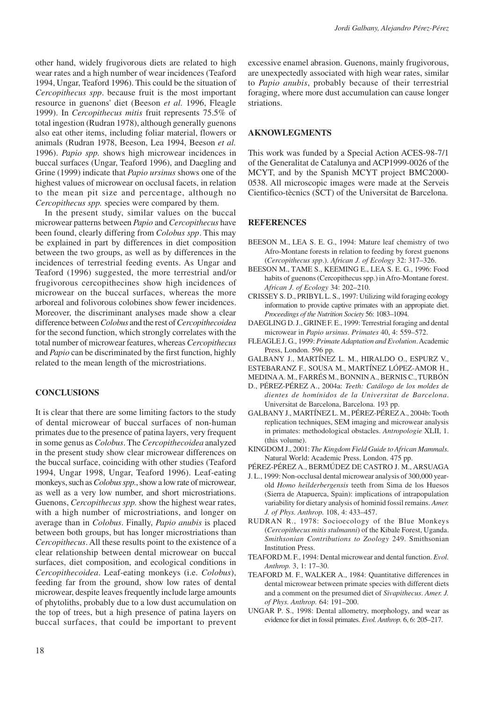other hand, widely frugivorous diets are related to high wear rates and a high number of wear incidences (Teaford 1994, Ungar, Teaford 1996). This could be the situation of *Cercopithecus spp*. because fruit is the most important resource in guenons' diet (Beeson *et al.* 1996, Fleagle 1999). In *Cercopithecus mitis* fruit represents 75.5% of total ingestion (Rudran 1978), although generally guenons also eat other items, including foliar material, flowers or animals (Rudran 1978, Beeson, Lea 1994, Beeson *et al.* 1996). *Papio spp.* shows high microwear incidences in buccal surfaces (Ungar, Teaford 1996), and Daegling and Grine (1999) indicate that *Papio ursinus* shows one of the highest values of microwear on occlusal facets, in relation to the mean pit size and percentage, although no *Cercopithecus spp.* species were compared by them.

In the present study, similar values on the buccal microwear patterns between *Papio* and *Cercopithecus* have been found, clearly differing from *Colobus spp*. This may be explained in part by differences in diet composition between the two groups, as well as by differences in the incidences of terrestrial feeding events. As Ungar and Teaford (1996) suggested, the more terrestrial and/or frugivorous cercopithecines show high incidences of microwear on the buccal surfaces, whereas the more arboreal and folivorous colobines show fewer incidences. Moreover, the discriminant analyses made show a clear difference between *Colobus* and the rest of *Cercopithecoidea* for the second function, which strongly correlates with the total number of microwear features, whereas *Cercopithecus* and *Papio* can be discriminated by the first function, highly related to the mean length of the microstriations.

## **CONCLUSIONS**

It is clear that there are some limiting factors to the study of dental microwear of buccal surfaces of non-human primates due to the presence of patina layers, very frequent in some genus as *Colobus*. The *Cercopithecoidea* analyzed in the present study show clear microwear differences on the buccal surface, coinciding with other studies (Teaford 1994, Ungar 1998, Ungar, Teaford 1996). Leaf-eating monkeys, such as *Colobus spp.*, show a low rate of microwear, as well as a very low number, and short microstriations. Guenons, *Cercopithecus spp.* show the highest wear rates, with a high number of microstriations, and longer on average than in *Colobus*. Finally, *Papio anubis* is placed between both groups, but has longer microstriations than *Cercopithecus*. All these results point to the existence of a clear relationship between dental microwear on buccal surfaces, diet composition, and ecological conditions in *Cercopithecoidea*. Leaf-eating monkeys (i.e. *Colobus*), feeding far from the ground, show low rates of dental microwear, despite leaves frequently include large amounts of phytoliths, probably due to a low dust accumulation on the top of trees, but a high presence of patina layers on buccal surfaces, that could be important to prevent

excessive enamel abrasion. Guenons, mainly frugivorous, are unexpectedly associated with high wear rates, similar to *Papio anubis*, probably because of their terrestrial foraging, where more dust accumulation can cause longer striations.

#### **AKNOWLEGMENTS**

This work was funded by a Special Action ACES-98-7/1 of the Generalitat de Catalunya and ACP1999-0026 of the MCYT, and by the Spanish MCYT project BMC2000- 0538. All microscopic images were made at the Serveis Cientifico-tècnics (SCT) of the Universitat de Barcelona.

## **REFERENCES**

- BEESON M., LEA S. E. G., 1994: Mature leaf chemistry of two Afro-Montane forests in relation to feeding by forest guenons (*Cercopithecus spp*.). *African J. of Ecology* 32: 317–326.
- BEESON M., TAME S., KEEMING E., LEA S. E. G., 1996: Food habits of guenons (Cercopithecus spp.) in Afro-Montane forest. *African J. of Ecology* 34: 202–210.
- CRISSEY S. D., PRIBYL L. S., 1997: Utilizing wild foraging ecology information to provide captive primates with an appropiate diet. *Proceedings of the Nutrition Society* 56: 1083–1094.
- DAEGLING D. J., GRINE F. E., 1999: Terrestrial foraging and dental microwear in *Papio ursinus*. *Primates* 40, 4: 559–572.
- FLEAGLE J. G., 1999: *Primate Adaptation and Evolution*. Academic Press, London. 596 pp.
- GALBANY J., MARTÍNEZ L. M., HIRALDO O., ESPURZ V., ESTEBARANZ F., SOUSA M., MARTÍNEZ LÓPEZ-AMOR H.,

MEDINA A. M., FARRÉS M., BONNIN A., BERNIS C., TURBÓN

- D., PÉREZ-PÉREZ A., 2004a: *Teeth: Catálogo de los moldes de dientes de homínidos de la Universitat de Barcelona*. Universitat de Barcelona, Barcelona. 193 pp.
- GALBANY J., MARTÍNEZ L. M., PÉREZ-PÉREZ A., 2004b: Tooth replication techniques, SEM imaging and microwear analysis in primates: methodological obstacles. *Antropologie* XLII, 1. (this volume).
- KINGDOM J., 2001: *The Kingdom Field Guide to African Mammals*. Natural World: Academic Press. London. 475 pp.
- PÉREZ-PÉREZ A., BERMÚDEZ DE CASTRO J. M., ARSUAGA
- J. L., 1999: Non-occlusal dental microwear analysis of 300,000 yearold *Homo heilderbergensis* teeth from Sima de los Huesos (Sierra de Atapuerca, Spain): implications of intrapopulation variability for dietary analysis of hominid fossil remains. *Amer. J. of Phys. Anthrop.* 108, 4: 433–457.
- RUDRAN R., 1978: Socioecology of the Blue Monkeys (*Cercopithecus mitis stulmanni*) of the Kibale Forest, Uganda. *Smithsonian Contributions to Zoology* 249. Smithsonian Institution Press.
- TEAFORD M. F., 1994: Dental microwear and dental function. *Evol. Anthrop.* 3, 1: 17–30.
- TEAFORD M. F., WALKER A., 1984: Quantitative differences in dental microwear between primate species with different diets and a comment on the presumed diet of *Sivapithecus*. *Amer. J. of Phys. Anthrop.* 64: 191–200.
- UNGAR P. S., 1998: Dental allometry, morphology, and wear as evidence for diet in fossil primates. *Evol. Anthrop.* 6, 6: 205–217.